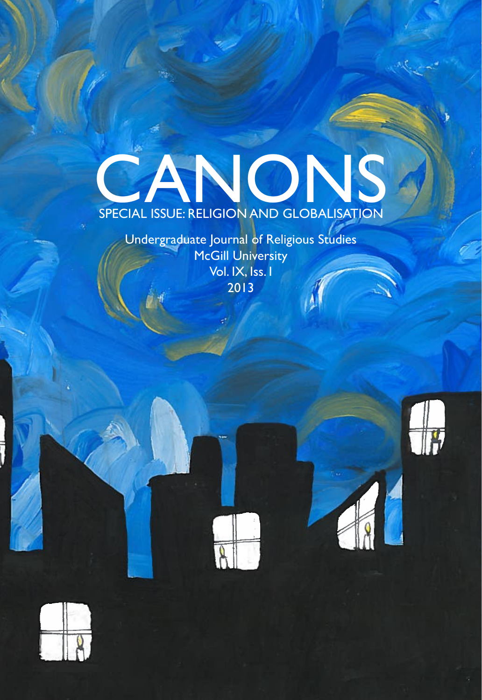# **CANONS**<br>SPECIAL ISSUE: RELIGION AND GLOBALISATION

Undergraduate Journal of Religious Studies **McGill University** Vol. IX, Iss. I 2013







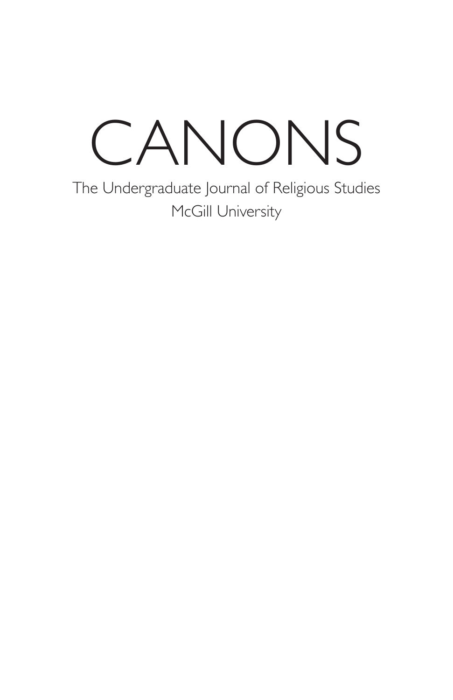## CANONS

The Undergraduate Journal of Religious Studies McGill University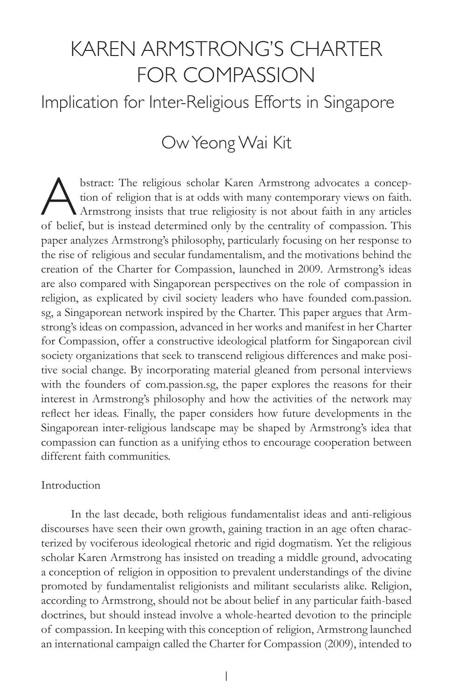## KAREN ARMSTRONG'S CHARTER FOR COMPASSION

Implication for Inter-Religious Efforts in Singapore

### Ow Yeong Wai Kit

Substract: The religious scholar Karen Armstrong advocates a conception of religion that is at odds with many contemporary views on faith.<br>Armstrong insists that true religiosity is not about faith in any articles tion of religion that is at odds with many contemporary views on faith. Armstrong insists that true religiosity is not about faith in any articles of belief, but is instead determined only by the centrality of compassion. This paper analyzes Armstrong's philosophy, particularly focusing on her response to the rise of religious and secular fundamentalism, and the motivations behind the creation of the Charter for Compassion, launched in 2009. Armstrong's ideas are also compared with Singaporean perspectives on the role of compassion in religion, as explicated by civil society leaders who have founded com.passion. sg, a Singaporean network inspired by the Charter. This paper argues that Armstrong's ideas on compassion, advanced in her works and manifest in her Charter for Compassion, offer a constructive ideological platform for Singaporean civil society organizations that seek to transcend religious differences and make positive social change. By incorporating material gleaned from personal interviews with the founders of com.passion.sg, the paper explores the reasons for their interest in Armstrong's philosophy and how the activities of the network may reflect her ideas. Finally, the paper considers how future developments in the Singaporean inter-religious landscape may be shaped by Armstrong's idea that compassion can function as a unifying ethos to encourage cooperation between different faith communities.

#### Introduction

In the last decade, both religious fundamentalist ideas and anti-religious discourses have seen their own growth, gaining traction in an age often characterized by vociferous ideological rhetoric and rigid dogmatism. Yet the religious scholar Karen Armstrong has insisted on treading a middle ground, advocating a conception of religion in opposition to prevalent understandings of the divine promoted by fundamentalist religionists and militant secularists alike. Religion, according to Armstrong, should not be about belief in any particular faith-based doctrines, but should instead involve a whole-hearted devotion to the principle of compassion. In keeping with this conception of religion, Armstrong launched an international campaign called the Charter for Compassion (2009), intended to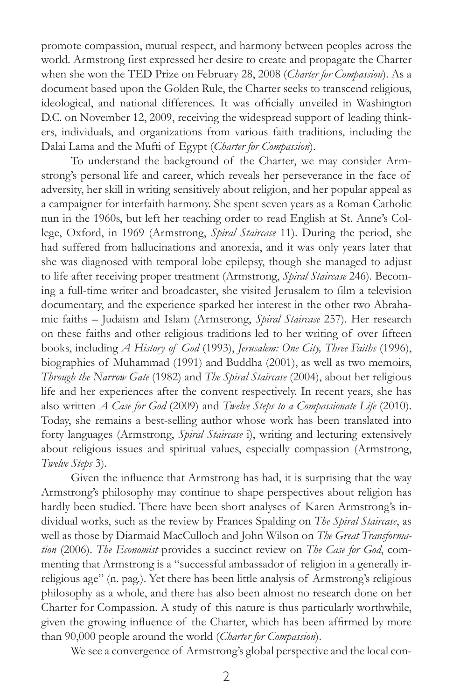promote compassion, mutual respect, and harmony between peoples across the world. Armstrong first expressed her desire to create and propagate the Charter when she won the TED Prize on February 28, 2008 (*Charter for Compassion*). As a document based upon the Golden Rule, the Charter seeks to transcend religious, ideological, and national differences. It was officially unveiled in Washington D.C. on November 12, 2009, receiving the widespread support of leading thinkers, individuals, and organizations from various faith traditions, including the Dalai Lama and the Mufti of Egypt (*Charter for Compassion*).

To understand the background of the Charter, we may consider Armstrong's personal life and career, which reveals her perseverance in the face of adversity, her skill in writing sensitively about religion, and her popular appeal as a campaigner for interfaith harmony. She spent seven years as a Roman Catholic nun in the 1960s, but left her teaching order to read English at St. Anne's College, Oxford, in 1969 (Armstrong, Spiral Staircase 11). During the period, she had suffered from hallucinations and anorexia, and it was only years later that she was diagnosed with temporal lobe epilepsy, though she managed to adjust to life after receiving proper treatment (Armstrong, *Spiral Staircase* 246). Becoming a full-time writer and broadcaster, she visited Jerusalem to film a television documentary, and the experience sparked her interest in the other two Abrahamic faiths - Judaism and Islam (Armstrong, Spiral Staircase 257). Her research on these faiths and other religious traditions led to her writing of over fifteen books, including *A History of God* (1993), *Jerusalem: One City, Three Faiths* (1996), biographies of Muhammad (1991) and Buddha (2001), as well as two memoirs, *Through the Narrow Gate* (1982) and *The Spiral Staircase* (2004), about her religious life and her experiences after the convent respectively. In recent years, she has also written *A Case for God* (2009) and *Twelve Steps to a Compassionate Life* (2010). Today, she remains a best-selling author whose work has been translated into forty languages (Armstrong, *Spiral Staircase* i), writing and lecturing extensively about religious issues and spiritual values, especially compassion (Armstrong, *Twelve Steps* 3).

Given the influence that Armstrong has had, it is surprising that the way Armstrong's philosophy may continue to shape perspectives about religion has hardly been studied. There have been short analyses of Karen Armstrong's individual works, such as the review by Frances Spalding on *The Spiral Staircase*, as well as those by Diarmaid MacCulloch and John Wilson on *The Great Transformation* (2006). *The Economist* provides a succinct review on *The Case for God*, commenting that Armstrong is a "successful ambassador of religion in a generally irreligious age" (n. pag.). Yet there has been little analysis of Armstrong's religious philosophy as a whole, and there has also been almost no research done on her Charter for Compassion. A study of this nature is thus particularly worthwhile, given the growing influence of the Charter, which has been affirmed by more than 90,000 people around the world (*Charter for Compassion*).

We see a convergence of Armstrong's global perspective and the local con-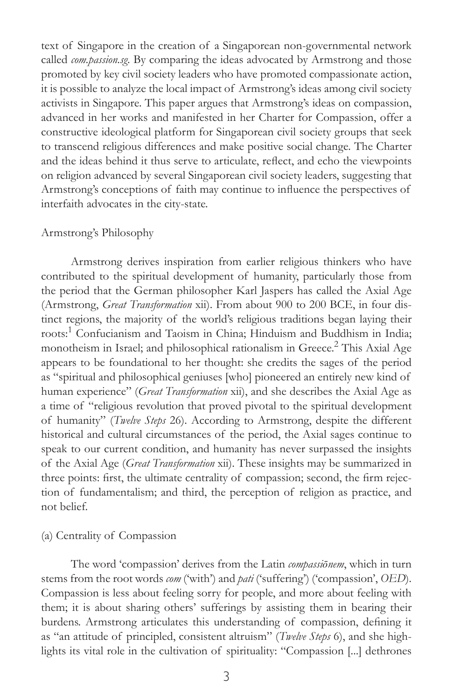text of Singapore in the creation of a Singaporean non-governmental network called *com.passion.sg*. By comparing the ideas advocated by Armstrong and those promoted by key civil society leaders who have promoted compassionate action, it is possible to analyze the local impact of Armstrong's ideas among civil society activists in Singapore. This paper argues that Armstrong's ideas on compassion, advanced in her works and manifested in her Charter for Compassion, offer a constructive ideological platform for Singaporean civil society groups that seek to transcend religious differences and make positive social change. The Charter and the ideas behind it thus serve to articulate, reflect, and echo the viewpoints on religion advanced by several Singaporean civil society leaders, suggesting that Armstrong's conceptions of faith may continue to influence the perspectives of interfaith advocates in the city-state.

#### Armstrong's Philosophy

Armstrong derives inspiration from earlier religious thinkers who have contributed to the spiritual development of humanity, particularly those from the period that the German philosopher Karl Jaspers has called the Axial Age (Armstrong, *Great Transformation* xii). From about 900 to 200 BCE, in four distinct regions, the majority of the world's religious traditions began laying their roots:<sup>1</sup> Confucianism and Taoism in China; Hinduism and Buddhism in India; monotheism in Israel; and philosophical rationalism in Greece.<sup>2</sup> This Axial Age appears to be foundational to her thought: she credits the sages of the period as "spiritual and philosophical geniuses [who] pioneered an entirely new kind of human experience" (Great Transformation xii), and she describes the Axial Age as a time of "religious revolution that proved pivotal to the spiritual development of humanity" (Twelve Steps 26). According to Armstrong, despite the different historical and cultural circumstances of the period, the Axial sages continue to speak to our current condition, and humanity has never surpassed the insights of the Axial Age (*Great Transformation* xii). These insights may be summarized in three points: first, the ultimate centrality of compassion; second, the firm rejection of fundamentalism; and third, the perception of religion as practice, and not belief.

#### (a) Centrality of Compassion

The word 'compassion' derives from the Latin compassionem, which in turn stems from the root words *com* ('with') and *pati* ('suffering') ('compassion', *OED*). Compassion is less about feeling sorry for people, and more about feeling with them; it is about sharing others' sufferings by assisting them in bearing their burdens. Armstrong articulates this understanding of compassion, defining it as "an attitude of principled, consistent altruism" (*Twelve Steps* 6), and she highlights its vital role in the cultivation of spirituality: "Compassion [...] dethrones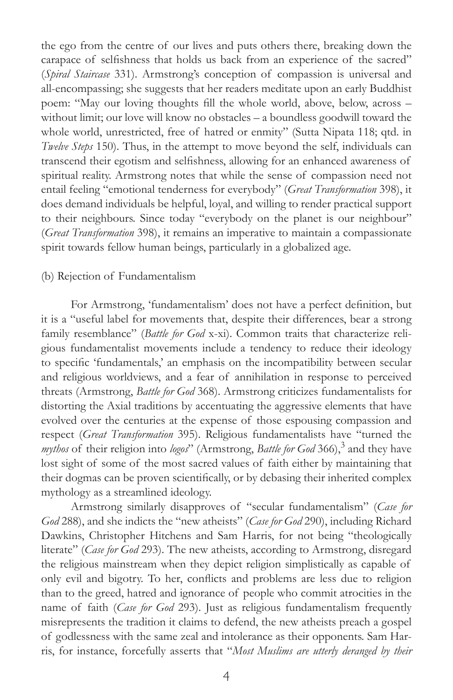the ego from the centre of our lives and puts others there, breaking down the carapace of selfishness that holds us back from an experience of the sacred" (*Spiral Staircase* 331). Armstrong's conception of compassion is universal and all-encompassing; she suggests that her readers meditate upon an early Buddhist poem: "May our loving thoughts fill the whole world, above, below, across – without limit; our love will know no obstacles - a boundless goodwill toward the whole world, unrestricted, free of hatred or enmity" (Sutta Nipata 118; qtd. in *Twelve Steps* 150). Thus, in the attempt to move beyond the self, individuals can transcend their egotism and selfishness, allowing for an enhanced awareness of spiritual reality. Armstrong notes that while the sense of compassion need not entail feeling "emotional tenderness for everybody" (Great Transformation 398), it does demand individuals be helpful, loyal, and willing to render practical support to their neighbours. Since today "everybody on the planet is our neighbour" (*Great Transformation* 398), it remains an imperative to maintain a compassionate spirit towards fellow human beings, particularly in a globalized age.

#### (b) Rejection of Fundamentalism

For Armstrong, 'fundamentalism' does not have a perfect definition, but it is a "useful label for movements that, despite their differences, bear a strong family resemblance" (Battle for God x-xi). Common traits that characterize religious fundamentalist movements include a tendency to reduce their ideology to specific 'fundamentals,' an emphasis on the incompatibility between secular and religious worldviews, and a fear of annihilation in response to perceived threats (Armstrong, *Battle for God* 368). Armstrong criticizes fundamentalists for distorting the Axial traditions by accentuating the aggressive elements that have evolved over the centuries at the expense of those espousing compassion and respect (*Great Transformation* 395). Religious fundamentalists have "turned the mythos of their religion into logos" (Armstrong, Battle for God 366),<sup>3</sup> and they have lost sight of some of the most sacred values of faith either by maintaining that their dogmas can be proven scientifically, or by debasing their inherited complex mythology as a streamlined ideology.

Armstrong similarly disapproves of "secular fundamentalism" (Case for God 288), and she indicts the "new atheists" (Case for God 290), including Richard Dawkins, Christopher Hitchens and Sam Harris, for not being "theologically literate" (Case for God 293). The new atheists, according to Armstrong, disregard the religious mainstream when they depict religion simplistically as capable of only evil and bigotry. To her, conflicts and problems are less due to religion than to the greed, hatred and ignorance of people who commit atrocities in the name of faith (*Case for God* 293). Just as religious fundamentalism frequently misrepresents the tradition it claims to defend, the new atheists preach a gospel of godlessness with the same zeal and intolerance as their opponents. Sam Harris, for instance, forcefully asserts that "Most Muslims are utterly deranged by their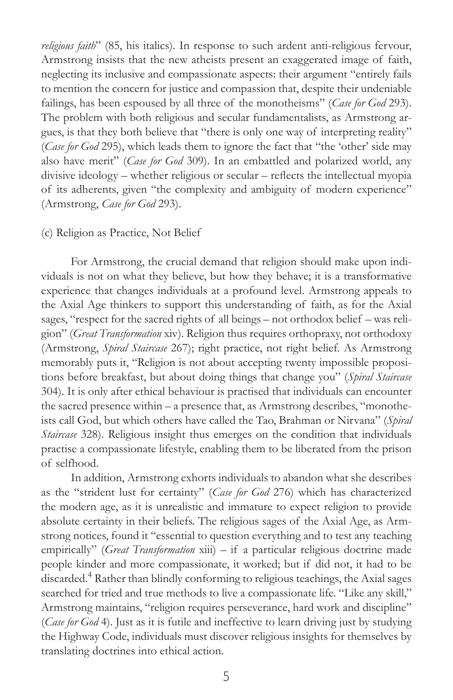*religious faith*" (85, his italics). In response to such ardent anti-religious fervour, Armstrong insists that the new atheists present an exaggerated image of faith, neglecting its inclusive and compassionate aspects: their argument "entirely fails to mention the concern for justice and compassion that, despite their undeniable failings, has been espoused by all three of the monotheisms" (Case for God 293). The problem with both religious and secular fundamentalists, as Armstrong argues, is that they both believe that "there is only one way of interpreting reality" (*Case for God* 295), which leads them to ignore the fact that "the 'other' side may also have merit" (*Case for God* 309). In an embattled and polarized world, any divisive ideology - whether religious or secular - reflects the intellectual myopia of its adherents, given "the complexity and ambiguity of modern experience" (Armstrong, *Case for God* 293).

#### (c) Religion as Practice, Not Belief

For Armstrong, the crucial demand that religion should make upon individuals is not on what they believe, but how they behave; it is a transformative experience that changes individuals at a profound level. Armstrong appeals to the Axial Age thinkers to support this understanding of faith, as for the Axial sages, "respect for the sacred rights of all beings – not orthodox belief – was religion" (Great Transformation xiv). Religion thus requires orthopraxy, not orthodoxy (Armstrong, *Spiral Staircase* 267); right practice, not right belief. As Armstrong memorably puts it, "Religion is not about accepting twenty impossible propositions before breakfast, but about doing things that change you" (Spiral Staircase 304). It is only after ethical behaviour is practised that individuals can encounter the sacred presence within – a presence that, as Armstrong describes, "monotheists call God, but which others have called the Tao, Brahman or Nirvana" (Spiral *Staircase* 328). Religious insight thus emerges on the condition that individuals practise a compassionate lifestyle, enabling them to be liberated from the prison of selfhood.

In addition, Armstrong exhorts individuals to abandon what she describes as the "strident lust for certainty" (Case for God 276) which has characterized the modern age, as it is unrealistic and immature to expect religion to provide absolute certainty in their beliefs. The religious sages of the Axial Age, as Armstrong notices, found it "essential to question everything and to test any teaching empirically" (Great Transformation xiii) - if a particular religious doctrine made people kinder and more compassionate, it worked; but if did not, it had to be discarded.4 Rather than blindly conforming to religious teachings, the Axial sages searched for tried and true methods to live a compassionate life. "Like any skill," Armstrong maintains, "religion requires perseverance, hard work and discipline" (*Case for God* 4). Just as it is futile and ineffective to learn driving just by studying the Highway Code, individuals must discover religious insights for themselves by translating doctrines into ethical action.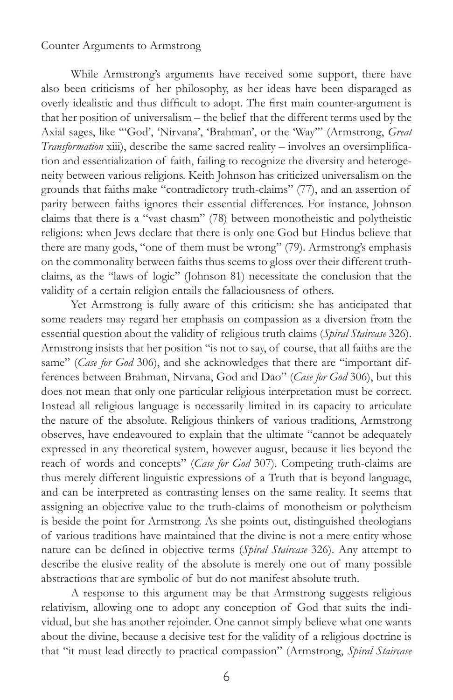#### Counter Arguments to Armstrong

While Armstrong's arguments have received some support, there have also been criticisms of her philosophy, as her ideas have been disparaged as overly idealistic and thus difficult to adopt. The first main counter-argument is that her position of universalism – the belief that the different terms used by the Axial sages, like "God', 'Nirvana', 'Brahman', or the 'Way"' (Armstrong, Great *Transformation* xiii), describe the same sacred reality – involves an oversimplification and essentialization of faith, failing to recognize the diversity and heterogeneity between various religions. Keith Johnson has criticized universalism on the grounds that faiths make "contradictory truth-claims" (77), and an assertion of parity between faiths ignores their essential differences. For instance, Johnson claims that there is a "vast chasm" (78) between monotheistic and polytheistic religions: when Jews declare that there is only one God but Hindus believe that there are many gods, "one of them must be wrong" (79). Armstrong's emphasis on the commonality between faiths thus seems to gloss over their different truthclaims, as the "laws of logic" (Johnson 81) necessitate the conclusion that the validity of a certain religion entails the fallaciousness of others.

Yet Armstrong is fully aware of this criticism: she has anticipated that some readers may regard her emphasis on compassion as a diversion from the essential question about the validity of religious truth claims (*Spiral Staircase* 326). Armstrong insists that her position "is not to say, of course, that all faiths are the same" (Case for God 306), and she acknowledges that there are "important differences between Brahman, Nirvana, God and Dao" (Case for God 306), but this does not mean that only one particular religious interpretation must be correct. Instead all religious language is necessarily limited in its capacity to articulate the nature of the absolute. Religious thinkers of various traditions, Armstrong observes, have endeavoured to explain that the ultimate "cannot be adequately expressed in any theoretical system, however august, because it lies beyond the reach of words and concepts" (Case for God 307). Competing truth-claims are thus merely different linguistic expressions of a Truth that is beyond language, and can be interpreted as contrasting lenses on the same reality. It seems that assigning an objective value to the truth-claims of monotheism or polytheism is beside the point for Armstrong. As she points out, distinguished theologians of various traditions have maintained that the divine is not a mere entity whose nature can be defined in objective terms (Spiral Staircase 326). Any attempt to describe the elusive reality of the absolute is merely one out of many possible abstractions that are symbolic of but do not manifest absolute truth.

A response to this argument may be that Armstrong suggests religious relativism, allowing one to adopt any conception of God that suits the individual, but she has another rejoinder. One cannot simply believe what one wants about the divine, because a decisive test for the validity of a religious doctrine is that "it must lead directly to practical compassion" (Armstrong, Spiral Staircase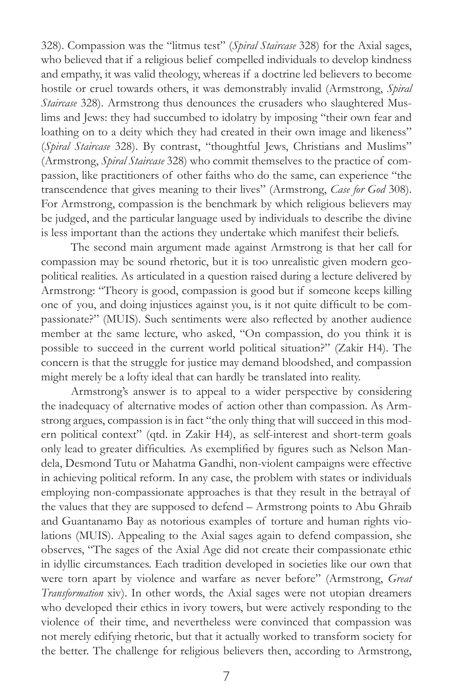328). Compassion was the "litmus test" (Spiral Staircase 328) for the Axial sages, who believed that if a religious belief compelled individuals to develop kindness and empathy, it was valid theology, whereas if a doctrine led believers to become hostile or cruel towards others, it was demonstrably invalid (Armstrong, *Spiral Staircase* 328). Armstrong thus denounces the crusaders who slaughtered Muslims and Jews: they had succumbed to idolatry by imposing "their own fear and loathing on to a deity which they had created in their own image and likeness" (*Spiral Staircase* 328). By contrast, "thoughtful Jews, Christians and Muslims" (Armstrong, *Spiral Staircase* 328) who commit themselves to the practice of compassion, like practitioners of other faiths who do the same, can experience "the transcendence that gives meaning to their lives" (Armstrong, Case for God 308). For Armstrong, compassion is the benchmark by which religious believers may be judged, and the particular language used by individuals to describe the divine is less important than the actions they undertake which manifest their beliefs.

The second main argument made against Armstrong is that her call for compassion may be sound rhetoric, but it is too unrealistic given modern geopolitical realities. As articulated in a question raised during a lecture delivered by Armstrong: "Theory is good, compassion is good but if someone keeps killing one of you, and doing injustices against you, is it not quite difficult to be compassionate?" (MUIS). Such sentiments were also reflected by another audience member at the same lecture, who asked, "On compassion, do you think it is possible to succeed in the current world political situation?" (Zakir H4). The concern is that the struggle for justice may demand bloodshed, and compassion might merely be a lofty ideal that can hardly be translated into reality.

Armstrong's answer is to appeal to a wider perspective by considering the inadequacy of alternative modes of action other than compassion. As Armstrong argues, compassion is in fact "the only thing that will succeed in this modern political context" (qtd. in Zakir H4), as self-interest and short-term goals only lead to greater difficulties. As exemplified by figures such as Nelson Mandela, Desmond Tutu or Mahatma Gandhi, non-violent campaigns were effective in achieving political reform. In any case, the problem with states or individuals employing non-compassionate approaches is that they result in the betrayal of the values that they are supposed to defend - Armstrong points to Abu Ghraib and Guantanamo Bay as notorious examples of torture and human rights violations (MUIS). Appealing to the Axial sages again to defend compassion, she observes, "The sages of the Axial Age did not create their compassionate ethic in idyllic circumstances. Each tradition developed in societies like our own that were torn apart by violence and warfare as never before" (Armstrong, Great *Transformation* xiv). In other words, the Axial sages were not utopian dreamers who developed their ethics in ivory towers, but were actively responding to the violence of their time, and nevertheless were convinced that compassion was not merely edifying rhetoric, but that it actually worked to transform society for the better. The challenge for religious believers then, according to Armstrong,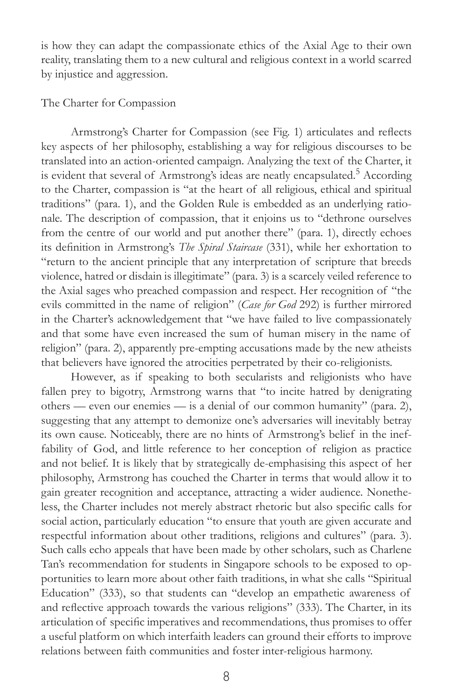is how they can adapt the compassionate ethics of the Axial Age to their own reality, translating them to a new cultural and religious context in a world scarred by injustice and aggression.

#### The Charter for Compassion

Armstrong's Charter for Compassion (see Fig. 1) articulates and reflects key aspects of her philosophy, establishing a way for religious discourses to be translated into an action-oriented campaign. Analyzing the text of the Charter, it is evident that several of Armstrong's ideas are neatly encapsulated.<sup>5</sup> According to the Charter, compassion is "at the heart of all religious, ethical and spiritual traditions" (para. 1), and the Golden Rule is embedded as an underlying rationale. The description of compassion, that it enjoins us to "dethrone ourselves from the centre of our world and put another there" (para. 1), directly echoes its definition in Armstrong's The Spiral Staircase (331), while her exhortation to "return to the ancient principle that any interpretation of scripture that breeds violence, hatred or disdain is illegitimate" (para. 3) is a scarcely veiled reference to the Axial sages who preached compassion and respect. Her recognition of "the evils committed in the name of religion" (Case for God 292) is further mirrored in the Charter's acknowledgement that "we have failed to live compassionately and that some have even increased the sum of human misery in the name of religion" (para. 2), apparently pre-empting accusations made by the new atheists that believers have ignored the atrocities perpetrated by their co-religionists.

However, as if speaking to both secularists and religionists who have fallen prey to bigotry, Armstrong warns that "to incite hatred by denigrating others — even our enemies — is a denial of our common humanity" (para. 2), suggesting that any attempt to demonize one's adversaries will inevitably betray its own cause. Noticeably, there are no hints of Armstrong's belief in the ineffability of God, and little reference to her conception of religion as practice and not belief. It is likely that by strategically de-emphasising this aspect of her philosophy, Armstrong has couched the Charter in terms that would allow it to gain greater recognition and acceptance, attracting a wider audience. Nonetheless, the Charter includes not merely abstract rhetoric but also specific calls for social action, particularly education "to ensure that youth are given accurate and respectful information about other traditions, religions and cultures" (para. 3). Such calls echo appeals that have been made by other scholars, such as Charlene Tan's recommendation for students in Singapore schools to be exposed to opportunities to learn more about other faith traditions, in what she calls "Spiritual Education" (333), so that students can "develop an empathetic awareness of and reflective approach towards the various religions" (333). The Charter, in its articulation of specific imperatives and recommendations, thus promises to offer a useful platform on which interfaith leaders can ground their efforts to improve relations between faith communities and foster inter-religious harmony.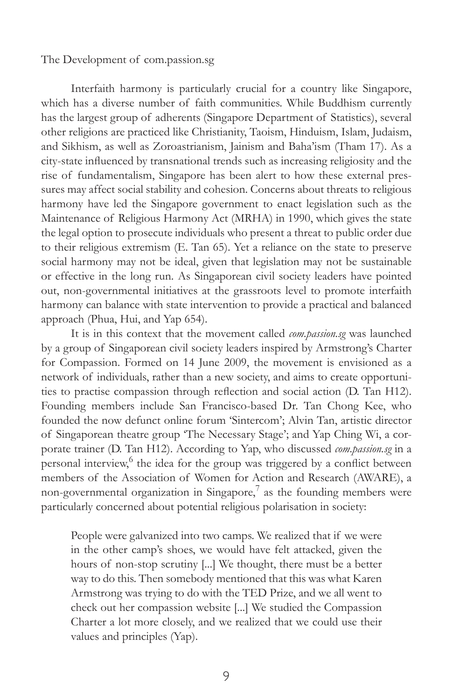#### The Development of com.passion.sg

Interfaith harmony is particularly crucial for a country like Singapore, which has a diverse number of faith communities. While Buddhism currently has the largest group of adherents (Singapore Department of Statistics), several other religions are practiced like Christianity, Taoism, Hinduism, Islam, Judaism, and Sikhism, as well as Zoroastrianism, Jainism and Baha'ism (Tham 17). As a city-state influenced by transnational trends such as increasing religiosity and the rise of fundamentalism, Singapore has been alert to how these external pressures may affect social stability and cohesion. Concerns about threats to religious harmony have led the Singapore government to enact legislation such as the Maintenance of Religious Harmony Act (MRHA) in 1990, which gives the state the legal option to prosecute individuals who present a threat to public order due to their religious extremism (E. Tan 65). Yet a reliance on the state to preserve social harmony may not be ideal, given that legislation may not be sustainable or effective in the long run. As Singaporean civil society leaders have pointed out, non-governmental initiatives at the grassroots level to promote interfaith harmony can balance with state intervention to provide a practical and balanced approach (Phua, Hui, and Yap 654).

It is in this context that the movement called *com.passion.sg* was launched by a group of Singaporean civil society leaders inspired by Armstrong's Charter for Compassion. Formed on 14 June 2009, the movement is envisioned as a network of individuals, rather than a new society, and aims to create opportunities to practise compassion through reflection and social action (D. Tan H12). Founding members include San Francisco-based Dr. Tan Chong Kee, who founded the now defunct online forum 'Sintercom'; Alvin Tan, artistic director of Singaporean theatre group 'The Necessary Stage'; and Yap Ching Wi, a corporate trainer (D. Tan H12). According to Yap, who discussed *com.passion.sg* in a personal interview,<sup>6</sup> the idea for the group was triggered by a conflict between members of the Association of Women for Action and Research (AWARE), a non-governmental organization in Singapore,<sup>7</sup> as the founding members were particularly concerned about potential religious polarisation in society:

People were galvanized into two camps. We realized that if we were in the other camp's shoes, we would have felt attacked, given the hours of non-stop scrutiny [...] We thought, there must be a better way to do this. Then somebody mentioned that this was what Karen Armstrong was trying to do with the TED Prize, and we all went to check out her compassion website [...] We studied the Compassion Charter a lot more closely, and we realized that we could use their values and principles (Yap).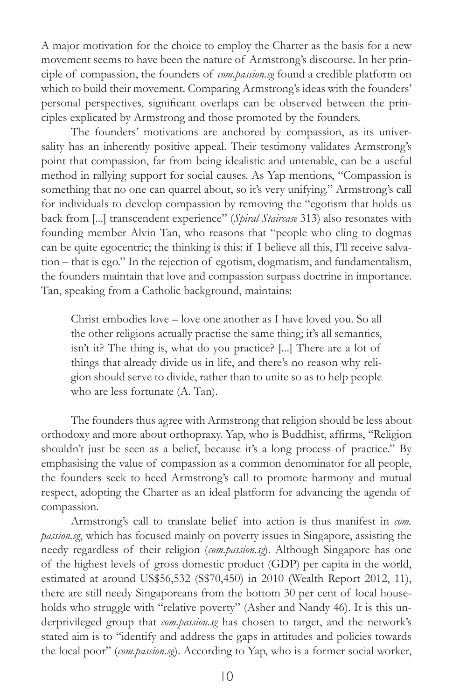A major motivation for the choice to employ the Charter as the basis for a new movement seems to have been the nature of Armstrong's discourse. In her principle of compassion, the founders of *com.passion.sg* found a credible platform on which to build their movement. Comparing Armstrong's ideas with the founders' personal perspectives, significant overlaps can be observed between the principles explicated by Armstrong and those promoted by the founders.

The founders' motivations are anchored by compassion, as its universality has an inherently positive appeal. Their testimony validates Armstrong's point that compassion, far from being idealistic and untenable, can be a useful method in rallying support for social causes. As Yap mentions, "Compassion is something that no one can quarrel about, so it's very unifying." Armstrong's call for individuals to develop compassion by removing the "egotism that holds us back from [...] transcendent experience" (Spiral Staircase 313) also resonates with founding member Alvin Tan, who reasons that "people who cling to dogmas can be quite egocentric; the thinking is this: if I believe all this, I'll receive salvation – that is ego." In the rejection of egotism, dogmatism, and fundamentalism, the founders maintain that love and compassion surpass doctrine in importance. Tan, speaking from a Catholic background, maintains:

Christ embodies love  $-$  love one another as I have loved you. So all the other religions actually practise the same thing; it's all semantics, isn't it? The thing is, what do you practice? [...] There are a lot of things that already divide us in life, and there's no reason why religion should serve to divide, rather than to unite so as to help people who are less fortunate (A. Tan).

The founders thus agree with Armstrong that religion should be less about orthodoxy and more about orthopraxy. Yap, who is Buddhist, affirms, "Religion shouldn't just be seen as a belief, because it's a long process of practice." By emphasising the value of compassion as a common denominator for all people, the founders seek to heed Armstrong's call to promote harmony and mutual respect, adopting the Charter as an ideal platform for advancing the agenda of compassion.

Armstrong's call to translate belief into action is thus manifest in *com. passion.sg*, which has focused mainly on poverty issues in Singapore, assisting the needy regardless of their religion (*com.passion.sg*). Although Singapore has one of the highest levels of gross domestic product (GDP) per capita in the world, estimated at around US\$56,532 (S\$70,450) in 2010 (Wealth Report 2012, 11), there are still needy Singaporeans from the bottom 30 per cent of local households who struggle with "relative poverty" (Asher and Nandy 46). It is this underprivileged group that *com.passion.sg* has chosen to target, and the network's stated aim is to "identify and address the gaps in attitudes and policies towards the local poor" (com.passion.sg). According to Yap, who is a former social worker,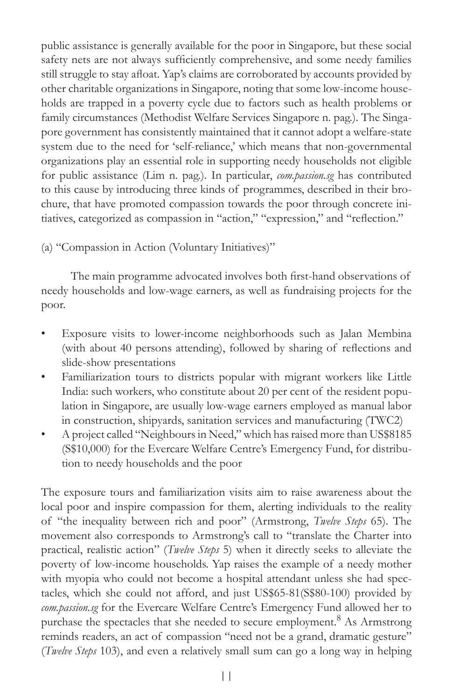public assistance is generally available for the poor in Singapore, but these social safety nets are not always sufficiently comprehensive, and some needy families still struggle to stay afloat. Yap's claims are corroborated by accounts provided by other charitable organizations in Singapore, noting that some low-income households are trapped in a poverty cycle due to factors such as health problems or family circumstances (Methodist Welfare Services Singapore n. pag.). The Singapore government has consistently maintained that it cannot adopt a welfare-state system due to the need for 'self-reliance,' which means that non-governmental organizations play an essential role in supporting needy households not eligible for public assistance (Lim n. pag.). In particular, *com.passion.sg* has contributed to this cause by introducing three kinds of programmes, described in their brochure, that have promoted compassion towards the poor through concrete initiatives, categorized as compassion in "action," "expression," and "reflection."

(a) "Compassion in Action (Voluntary Initiatives)"

The main programme advocated involves both first-hand observations of needy households and low-wage earners, as well as fundraising projects for the poor.

- Exposure visits to lower-income neighborhoods such as Jalan Membina (with about 40 persons attending), followed by sharing of reflections and slide-show presentations
- Familiarization tours to districts popular with migrant workers like Little India: such workers, who constitute about 20 per cent of the resident population in Singapore, are usually low-wage earners employed as manual labor in construction, shipyards, sanitation services and manufacturing (TWC2)
- A project called "Neighbours in Need," which has raised more than US\$8185 (S\$10,000) for the Evercare Welfare Centre's Emergency Fund, for distribution to needy households and the poor

The exposure tours and familiarization visits aim to raise awareness about the local poor and inspire compassion for them, alerting individuals to the reality of "the inequality between rich and poor" (Armstrong, *Twelve Steps* 65). The movement also corresponds to Armstrong's call to "translate the Charter into practical, realistic action" (Twelve Steps 5) when it directly seeks to alleviate the poverty of low-income households. Yap raises the example of a needy mother with myopia who could not become a hospital attendant unless she had spectacles, which she could not afford, and just US\$65-81(S\$80-100) provided by *com.passion.sg* for the Evercare Welfare Centre's Emergency Fund allowed her to purchase the spectacles that she needed to secure employment.<sup>8</sup> As Armstrong reminds readers, an act of compassion "need not be a grand, dramatic gesture" (*Twelve Steps* 103), and even a relatively small sum can go a long way in helping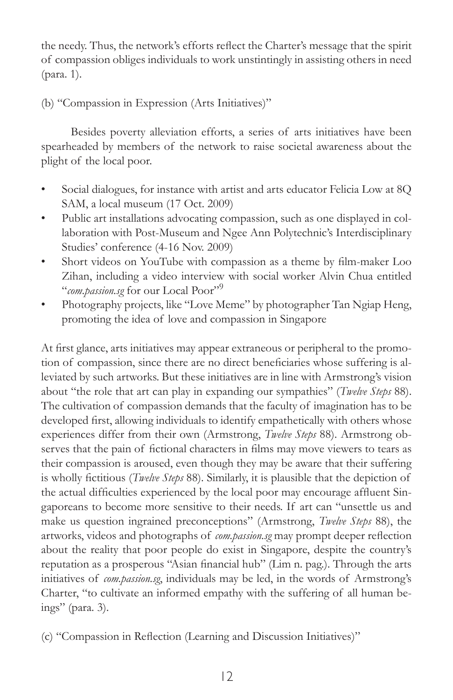the needy. Thus, the network's efforts reflect the Charter's message that the spirit of compassion obliges individuals to work unstintingly in assisting others in need (para. 1).

#### (b) "Compassion in Expression (Arts Initiatives)"

Besides poverty alleviation efforts, a series of arts initiatives have been spearheaded by members of the network to raise societal awareness about the plight of the local poor.

- Social dialogues, for instance with artist and arts educator Felicia Low at 8Q SAM, a local museum (17 Oct. 2009)
- Public art installations advocating compassion, such as one displayed in collaboration with Post-Museum and Ngee Ann Polytechnic's Interdisciplinary Studies' conference (4-16 Nov. 2009)
- Short videos on YouTube with compassion as a theme by film-maker Loo Zihan, including a video interview with social worker Alvin Chua entitled *<sup>cc</sup>com.passion.sg* for our Local Poor"<sup>9</sup>
- Photography projects, like "Love Meme" by photographer Tan Ngiap Heng, promoting the idea of love and compassion in Singapore

At first glance, arts initiatives may appear extraneous or peripheral to the promotion of compassion, since there are no direct beneficiaries whose suffering is alleviated by such artworks. But these initiatives are in line with Armstrong's vision about "the role that art can play in expanding our sympathies" (Twelve Steps 88). The cultivation of compassion demands that the faculty of imagination has to be developed first, allowing individuals to identify empathetically with others whose experiences differ from their own (Armstrong, *Twelve Steps* 88). Armstrong observes that the pain of fictional characters in films may move viewers to tears as their compassion is aroused, even though they may be aware that their suffering is wholly fictitious (Twelve Steps 88). Similarly, it is plausible that the depiction of the actual difficulties experienced by the local poor may encourage affluent Singaporeans to become more sensitive to their needs. If art can "unsettle us and make us question ingrained preconceptions" (Armstrong, Twelve Steps 88), the artworks, videos and photographs of *com.passion.sg* may prompt deeper reflection about the reality that poor people do exist in Singapore, despite the country's reputation as a prosperous "Asian financial hub" (Lim n. pag.). Through the arts initiatives of *com.passion.sg*, individuals may be led, in the words of Armstrong's Charter, "to cultivate an informed empathy with the suffering of all human beings" (para. 3).

(c) "Compassion in Reflection (Learning and Discussion Initiatives)"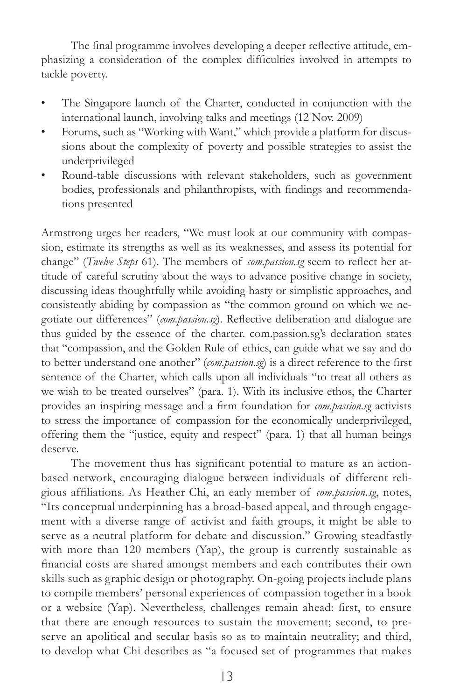The final programme involves developing a deeper reflective attitude, emphasizing a consideration of the complex difficulties involved in attempts to tackle poverty.

- The Singapore launch of the Charter, conducted in conjunction with the international launch, involving talks and meetings (12 Nov. 2009)
- Forums, such as "Working with Want," which provide a platform for discussions about the complexity of poverty and possible strategies to assist the underprivileged
- Round-table discussions with relevant stakeholders, such as government bodies, professionals and philanthropists, with findings and recommendations presented

Armstrong urges her readers, "We must look at our community with compassion, estimate its strengths as well as its weaknesses, and assess its potential for change" (Twelve Steps 61). The members of *com.passion.sg* seem to reflect her attitude of careful scrutiny about the ways to advance positive change in society, discussing ideas thoughtfully while avoiding hasty or simplistic approaches, and consistently abiding by compassion as "the common ground on which we negotiate our differences" (com.passion.sg). Reflective deliberation and dialogue are thus guided by the essence of the charter. com.passion.sg's declaration states that "compassion, and the Golden Rule of ethics, can guide what we say and do to better understand one another" (com.passion.sg) is a direct reference to the first sentence of the Charter, which calls upon all individuals "to treat all others as we wish to be treated ourselves" (para. 1). With its inclusive ethos, the Charter provides an inspiring message and a firm foundation for com.passion.sg activists to stress the importance of compassion for the economically underprivileged, offering them the "justice, equity and respect" (para. 1) that all human beings deserve.

The movement thus has significant potential to mature as an actionbased network, encouraging dialogue between individuals of different religious affiliations. As Heather Chi, an early member of *com.passion.sg*, notes, "Its conceptual underpinning has a broad-based appeal, and through engagement with a diverse range of activist and faith groups, it might be able to serve as a neutral platform for debate and discussion." Growing steadfastly with more than 120 members (Yap), the group is currently sustainable as financial costs are shared amongst members and each contributes their own skills such as graphic design or photography. On-going projects include plans to compile members' personal experiences of compassion together in a book or a website (Yap). Nevertheless, challenges remain ahead: first, to ensure that there are enough resources to sustain the movement; second, to preserve an apolitical and secular basis so as to maintain neutrality; and third, to develop what Chi describes as "a focused set of programmes that makes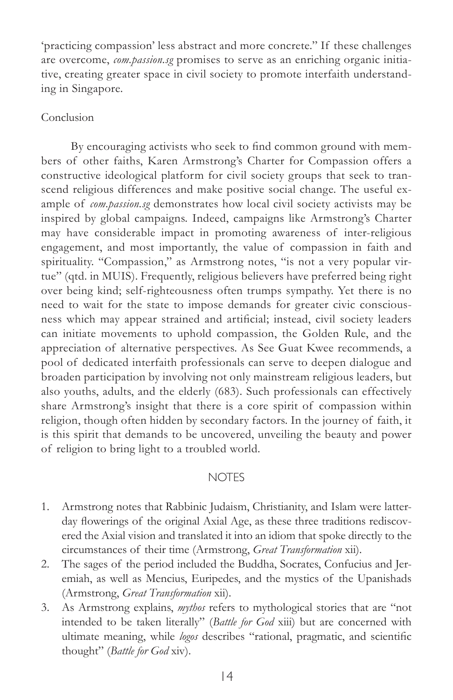'practicing compassion' less abstract and more concrete." If these challenges are overcome, *com.passion.sg* promises to serve as an enriching organic initiative, creating greater space in civil society to promote interfaith understanding in Singapore.

#### Conclusion

By encouraging activists who seek to find common ground with members of other faiths, Karen Armstrong's Charter for Compassion offers a constructive ideological platform for civil society groups that seek to transcend religious differences and make positive social change. The useful example of *com.passion.sg* demonstrates how local civil society activists may be inspired by global campaigns. Indeed, campaigns like Armstrong's Charter may have considerable impact in promoting awareness of inter-religious engagement, and most importantly, the value of compassion in faith and spirituality. "Compassion," as Armstrong notes, "is not a very popular virtue" (qtd. in MUIS). Frequently, religious believers have preferred being right over being kind; self-righteousness often trumps sympathy. Yet there is no need to wait for the state to impose demands for greater civic consciousness which may appear strained and artificial; instead, civil society leaders can initiate movements to uphold compassion, the Golden Rule, and the appreciation of alternative perspectives. As See Guat Kwee recommends, a pool of dedicated interfaith professionals can serve to deepen dialogue and broaden participation by involving not only mainstream religious leaders, but also youths, adults, and the elderly (683). Such professionals can effectively share Armstrong's insight that there is a core spirit of compassion within religion, though often hidden by secondary factors. In the journey of faith, it is this spirit that demands to be uncovered, unveiling the beauty and power of religion to bring light to a troubled world.

#### **NOTES**

- 1. Armstrong notes that Rabbinic Judaism, Christianity, and Islam were latterday flowerings of the original Axial Age, as these three traditions rediscovered the Axial vision and translated it into an idiom that spoke directly to the circumstances of their time (Armstrong, *Great Transformation* xii).
- 2. The sages of the period included the Buddha, Socrates, Confucius and Jeremiah, as well as Mencius, Euripedes, and the mystics of the Upanishads (Armstrong, *Great Transformation* xii).
- 3. As Armstrong explains, *mythos* refers to mythological stories that are "not intended to be taken literally" (Battle for God xiii) but are concerned with ultimate meaning, while *logos* describes "rational, pragmatic, and scientific thought" (Battle for God xiv).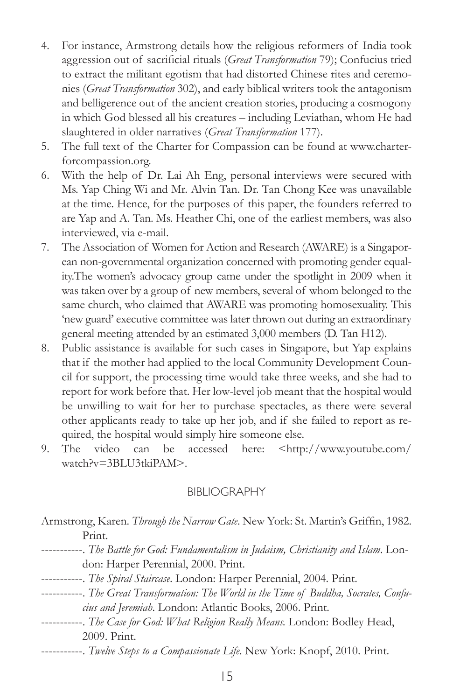- 4. For instance, Armstrong details how the religious reformers of India took aggression out of sacrificial rituals (Great Transformation 79); Confucius tried to extract the militant egotism that had distorted Chinese rites and ceremonies (*Great Transformation* 302), and early biblical writers took the antagonism and belligerence out of the ancient creation stories, producing a cosmogony in which God blessed all his creatures - including Leviathan, whom He had slaughtered in older narratives (*Great Transformation* 177).
- 5. The full text of the Charter for Compassion can be found at www.charterforcompassion.org.
- 6. With the help of Dr. Lai Ah Eng, personal interviews were secured with Ms. Yap Ching Wi and Mr. Alvin Tan. Dr. Tan Chong Kee was unavailable at the time. Hence, for the purposes of this paper, the founders referred to are Yap and A. Tan. Ms. Heather Chi, one of the earliest members, was also interviewed, via e-mail.
- 7. The Association of Women for Action and Research (AWARE) is a Singaporean non-governmental organization concerned with promoting gender equality.The women's advocacy group came under the spotlight in 2009 when it was taken over by a group of new members, several of whom belonged to the same church, who claimed that AWARE was promoting homosexuality. This 'new guard' executive committee was later thrown out during an extraordinary general meeting attended by an estimated 3,000 members (D. Tan H12).
- 8. Public assistance is available for such cases in Singapore, but Yap explains that if the mother had applied to the local Community Development Council for support, the processing time would take three weeks, and she had to report for work before that. Her low-level job meant that the hospital would be unwilling to wait for her to purchase spectacles, as there were several other applicants ready to take up her job, and if she failed to report as required, the hospital would simply hire someone else.
- 9. The video can be accessed here: <http://www.youtube.com/  $\text{watch?v} = 3\text{BLU}3\text{tki} \text{PAM}$

#### BIBLIOGRAPHY

- Armstrong, Karen. *Through the Narrow Gate*. New York: St. Martin's Griffin, 1982. Print.
- -----------. *The Battle for God: Fundamentalism in Judaism, Christianity and Islam*. London: Harper Perennial, 2000. Print.
- -----------. The Spiral Staircase. London: Harper Perennial, 2004. Print.
- -----------. *The Great Transformation: The World in the Time of Buddha, Socrates, Confucius and Jeremiah*. London: Atlantic Books, 2006. Print.
- -----------. *The Case for God: What Religion Really Means*. London: Bodley Head, 2009. Print.
- --------. *Twelve Steps to a Compassionate Life*. New York: Knopf, 2010. Print.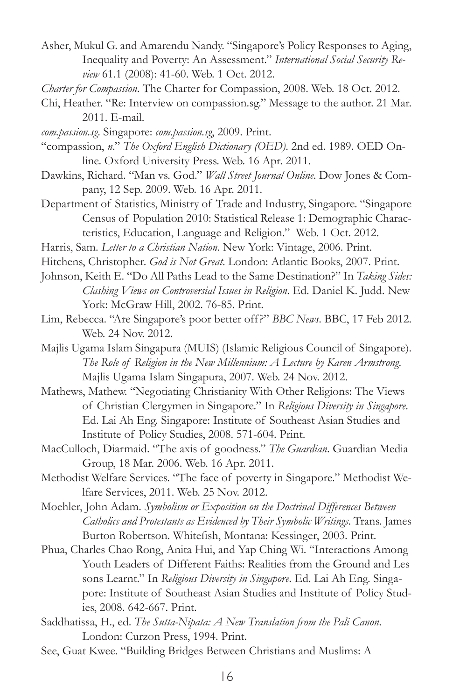- Asher, Mukul G. and Amarendu Nandy. "Singapore's Policy Responses to Aging, Inequality and Poverty: An Assessment." International Social Security Re*view* 61.1 (2008): 41-60. Web. 1 Oct. 2012.
- *Charter for Compassion*. The Charter for Compassion, 2008. Web. 18 Oct. 2012.
- Chi, Heather. "Re: Interview on compassion.sg." Message to the author. 21 Mar. 2011. E-mail.
- *com.passion.sg*. Singapore: *com.passion.sg*, 2009. Print.
- "compassion, n." The Oxford English Dictionary (OED). 2nd ed. 1989. OED Online. Oxford University Press. Web. 16 Apr. 2011.
- Dawkins, Richard. "Man vs. God." Wall Street Journal Online. Dow Jones & Company, 12 Sep. 2009. Web. 16 Apr. 2011.
- Department of Statistics, Ministry of Trade and Industry, Singapore. "Singapore Census of Population 2010: Statistical Release 1: Demographic Characteristics, Education, Language and Religion." Web. 1 Oct. 2012.
- Harris, Sam. Letter to a Christian Nation. New York: Vintage, 2006. Print.
- Hitchens, Christopher. God is Not Great. London: Atlantic Books, 2007. Print.
- Johnson, Keith E. "Do All Paths Lead to the Same Destination?" In Taking Sides: *Clashing Views on Controversial Issues in Religion*. Ed. Daniel K. Judd. New York: McGraw Hill, 2002. 76-85. Print.
- Lim, Rebecca. "Are Singapore's poor better off?" BBC News. BBC, 17 Feb 2012. Web. 24 Nov. 2012.
- Majlis Ugama Islam Singapura (MUIS) (Islamic Religious Council of Singapore). *The Role of Religion in the New Millennium: A Lecture by Karen Armstrong*. Majlis Ugama Islam Singapura, 2007. Web. 24 Nov. 2012.
- Mathews, Mathew. "Negotiating Christianity With Other Religions: The Views of Christian Clergymen in Singapore." In Religious Diversity in Singapore. Ed. Lai Ah Eng. Singapore: Institute of Southeast Asian Studies and Institute of Policy Studies, 2008. 571-604. Print.
- MacCulloch, Diarmaid. "The axis of goodness." The Guardian. Guardian Media Group, 18 Mar. 2006. Web. 16 Apr. 2011.
- Methodist Welfare Services. "The face of poverty in Singapore." Methodist Welfare Services, 2011. Web. 25 Nov. 2012.
- Moehler, John Adam. *Symbolism or Exposition on the Doctrinal Differences Between Catholics and Protestants as Evidenced by Their Symbolic Writings*. Trans. James Burton Robertson. Whitefish, Montana: Kessinger, 2003. Print.
- Phua, Charles Chao Rong, Anita Hui, and Yap Ching Wi. "Interactions Among Youth Leaders of Different Faiths: Realities from the Ground and Les sons Learnt." In Religious Diversity in Singapore. Ed. Lai Ah Eng. Singapore: Institute of Southeast Asian Studies and Institute of Policy Studies, 2008. 642-667. Print.
- Saddhatissa, H., ed. The Sutta-Nipata: A New Translation from the Pali Canon. London: Curzon Press, 1994. Print.
- See, Guat Kwee. "Building Bridges Between Christians and Muslims: A